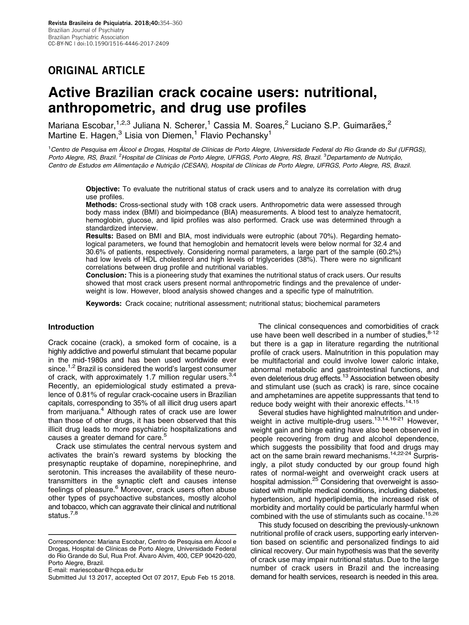## ORIGINAL ARTICLE

# Active Brazilian crack cocaine users: nutritional, anthropometric, and drug use profiles

Mariana Escobar, 1,2,3 Juliana N. Scherer, <sup>1</sup> Cassia M. Soares, <sup>2</sup> Luciano S.P. Guimarães, <sup>2</sup> Martine E. Hagen, $3$  Lisia von Diemen,<sup>1</sup> Flavio Pechansky<sup>1</sup>

<sup>1</sup>Centro de Pesquisa em Álcool e Drogas, Hospital de Clínicas de Porto Alegre, Universidade Federal do Rio Grande do Sul (UFRGS), Porto Alegre, RS, Brazil. <sup>2</sup> Hospital de Clínicas de Porto Alegre, UFRGS, Porto Alegre, RS, Brazil. <sup>3</sup> Departamento de Nutrição, Centro de Estudos em Alimentacão e Nutricão (CESAN), Hospital de Clínicas de Porto Alegre, UFRGS, Porto Alegre, RS, Brazil.

Objective: To evaluate the nutritional status of crack users and to analyze its correlation with drug use profiles.

Methods: Cross-sectional study with 108 crack users. Anthropometric data were assessed through body mass index (BMI) and bioimpedance (BIA) measurements. A blood test to analyze hematocrit, hemoglobin, glucose, and lipid profiles was also performed. Crack use was determined through a standardized interview.

Results: Based on BMI and BIA, most individuals were eutrophic (about 70%). Regarding hematological parameters, we found that hemoglobin and hematocrit levels were below normal for 32.4 and 30.6% of patients, respectively. Considering normal parameters, a large part of the sample (60.2%) had low levels of HDL cholesterol and high levels of triglycerides (38%). There were no significant correlations between drug profile and nutritional variables.

Conclusion: This is a pioneering study that examines the nutritional status of crack users. Our results showed that most crack users present normal anthropometric findings and the prevalence of underweight is low. However, blood analysis showed changes and a specific type of malnutrition.

Keywords: Crack cocaine; nutritional assessment; nutritional status; biochemical parameters

## Introduction

Crack cocaine (crack), a smoked form of cocaine, is a highly addictive and powerful stimulant that became popular in the mid-1980s and has been used worldwide ever since.<sup>[1,2](#page-5-0)</sup> Brazil is considered the world's largest consumer of crack, with approximately 1.7 million regular users.  $3,4$ Recently, an epidemiological study estimated a prevalence of 0.81% of regular crack-cocaine users in Brazilian capitals, corresponding to 35% of all illicit drug users apart from marijuana.<sup>4</sup> Although rates of crack use are lower than those of other drugs, it has been observed that this illicit drug leads to more psychiatric hospitalizations and causes a greater demand for care.<sup>5</sup>

Crack use stimulates the central nervous system and activates the brain's reward systems by blocking the presynaptic reuptake of dopamine, norepinephrine, and serotonin. This increases the availability of these neurotransmitters in the synaptic cleft and causes intense feelings of pleasure.<sup>6</sup> Moreover, crack users often abuse other types of psychoactive substances, mostly alcohol and tobacco, which can aggravate their clinical and nutritional status.<sup>[7,8](#page-5-0)</sup>

The clinical consequences and comorbidities of crack use have been well described in a number of studies, 8-[12](#page-5-0) but there is a gap in literature regarding the nutritional profile of crack users. Malnutrition in this population may be multifactorial and could involve lower caloric intake, abnormal metabolic and gastrointestinal functions, and even deleterious drug effects.<sup>13</sup> Association between obesity and stimulant use (such as crack) is rare, since cocaine and amphetamines are appetite suppressants that tend to reduce body weight with their anorexic effects.<sup>[14,15](#page-5-0)</sup>

Several studies have highlighted malnutrition and underweight in active multiple-drug users.<sup>13,14,16-21</sup> However, weight gain and binge eating have also been observed in people recovering from drug and alcohol dependence, which suggests the possibility that food and drugs may act on the same brain reward mechanisms[.14,22-24](#page-5-0) Surprisingly, a pilot study conducted by our group found high rates of normal-weight and overweight crack users at hospital admission.<sup>[25](#page-5-0)</sup> Considering that overweight is associated with multiple medical conditions, including diabetes, hypertension, and hyperlipidemia, the increased risk of morbidity and mortality could be particularly harmful when combined with the use of stimulants such as cocaine.<sup>[15,26](#page-5-0)</sup>

This study focused on describing the previously-unknown nutritional profile of crack users, supporting early intervention based on scientific and personalized findings to aid clinical recovery. Our main hypothesis was that the severity of crack use may impair nutritional status. Due to the large number of crack users in Brazil and the increasing demand for health services, research is needed in this area.

Correspondence: Mariana Escobar, Centro de Pesquisa em Álcool e Drogas, Hospital de Clínicas de Porto Alegre, Universidade Federal do Rio Grande do Sul, Rua Prof. Álvaro Alvim, 400, CEP 90420-020, Porto Alegre, Brazil.

E-mail: [mariescobar@hcpa.edu.br](mailto:mariescobar@hcpa.edu.br)

Submitted Jul 13 2017, accepted Oct 07 2017, Epub Feb 15 2018.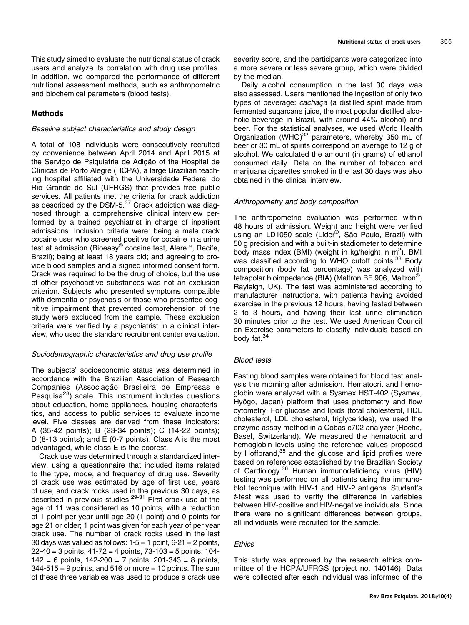This study aimed to evaluate the nutritional status of crack users and analyze its correlation with drug use profiles. In addition, we compared the performance of different nutritional assessment methods, such as anthropometric and biochemical parameters (blood tests).

### Methods

### Baseline subject characteristics and study design

A total of 108 individuals were consecutively recruited by convenience between April 2014 and April 2015 at the Serviço de Psiquiatria de Adição of the Hospital de Clínicas de Porto Alegre (HCPA), a large Brazilian teaching hospital affiliated with the Universidade Federal do Rio Grande do Sul (UFRGS) that provides free public services. All patients met the criteria for crack addiction as described by the DSM-5. $27$  Crack addiction was diagnosed through a comprehensive clinical interview performed by a trained psychiatrist in charge of inpatient admissions. Inclusion criteria were: being a male crack cocaine user who screened positive for cocaine in a urine test at admission (Bioeasy® cocaine test, Alere<sup>™</sup>, Recife, Brazil); being at least 18 years old; and agreeing to provide blood samples and a signed informed consent form. Crack was required to be the drug of choice, but the use of other psychoactive substances was not an exclusion criterion. Subjects who presented symptoms compatible with dementia or psychosis or those who presented cognitive impairment that prevented comprehension of the study were excluded from the sample. These exclusion criteria were verified by a psychiatrist in a clinical interview, who used the standard recruitment center evaluation.

### Sociodemographic characteristics and drug use profile

The subjects' socioeconomic status was determined in accordance with the Brazilian Association of Research Companies (Associação Brasileira de Empresas e Pesquisa<sup>[28](#page-5-0)</sup>) scale. This instrument includes questions about education, home appliances, housing characteristics, and access to public services to evaluate income level. Five classes are derived from these indicators: A (35-42 points); B (23-34 points); C (14-22 points); D (8-13 points); and E (0-7 points). Class A is the most advantaged, while class E is the poorest.

Crack use was determined through a standardized interview, using a questionnaire that included items related to the type, mode, and frequency of drug use. Severity of crack use was estimated by age of first use, years of use, and crack rocks used in the previous 30 days, as described in previous studies.[29](#page-5-0)-[31](#page-5-0) First crack use at the age of 11 was considered as 10 points, with a reduction of 1 point per year until age 20 (1 point) and 0 points for age 21 or older; 1 point was given for each year of per year crack use. The number of crack rocks used in the last 30 days was valued as follows:  $1-5 = 1$  point,  $6-21 = 2$  points,  $22-40 = 3$  points,  $41-72 = 4$  points,  $73-103 = 5$  points,  $104-$ 142 = 6 points, 142-200 = 7 points, 201-343 = 8 points,  $344-515 = 9$  points, and 516 or more  $= 10$  points. The sum of these three variables was used to produce a crack use

severity score, and the participants were categorized into a more severe or less severe group, which were divided by the median.

Daily alcohol consumption in the last 30 days was also assessed. Users mentioned the ingestion of only two types of beverage: cachaça (a distilled spirit made from fermented sugarcane juice, the most popular distilled alcoholic beverage in Brazil, with around 44% alcohol) and beer. For the statistical analyses, we used World Health Organization (WHO) $32$  parameters, whereby 350 mL of beer or 30 mL of spirits correspond on average to 12 g of alcohol. We calculated the amount (in grams) of ethanol consumed daily. Data on the number of tobacco and marijuana cigarettes smoked in the last 30 days was also obtained in the clinical interview.

#### Anthropometry and body composition

The anthropometric evaluation was performed within 48 hours of admission. Weight and height were verified using an LD1050 scale (Líder<sup>®</sup>, São Paulo, Brazil) with 50 g precision and with a built-in stadiometer to determine body mass index (BMI) (weight in kg/height in m<sup>2</sup>). BMI was classified according to WHO cutoff points.<sup>33</sup> Body composition (body fat percentage) was analyzed with tetrapolar bioimpedance (BIA) (Maltron BF 906, Maltron®, Rayleigh, UK). The test was administered according to manufacturer instructions, with patients having avoided exercise in the previous 12 hours, having fasted between 2 to 3 hours, and having their last urine elimination 30 minutes prior to the test. We used American Council on Exercise parameters to classify individuals based on body fat.<sup>[34](#page-6-0)</sup>

#### Blood tests

Fasting blood samples were obtained for blood test analysis the morning after admission. Hematocrit and hemoglobin were analyzed with a Sysmex HST-402 (Sysmex, Hyōgo, Japan) platform that uses photometry and flow cytometry. For glucose and lipids (total cholesterol, HDL cholesterol, LDL cholesterol, triglycerides), we used the enzyme assay method in a Cobas c702 analyzer (Roche, Basel, Switzerland). We measured the hematocrit and hemoglobin levels using the reference values proposed by Hoffbrand,<sup>[35](#page-6-0)</sup> and the glucose and lipid profiles were based on references established by the Brazilian Society of Cardiology.[36](#page-6-0) Human immunodeficiency virus (HIV) testing was performed on all patients using the immunoblot technique with HIV-1 and HIV-2 antigens. Student's t-test was used to verify the difference in variables between HIV-positive and HIV-negative individuals. Since there were no significant differences between groups, all individuals were recruited for the sample.

## **Ethics**

This study was approved by the research ethics committee of the HCPA/UFRGS (project no. 140146). Data were collected after each individual was informed of the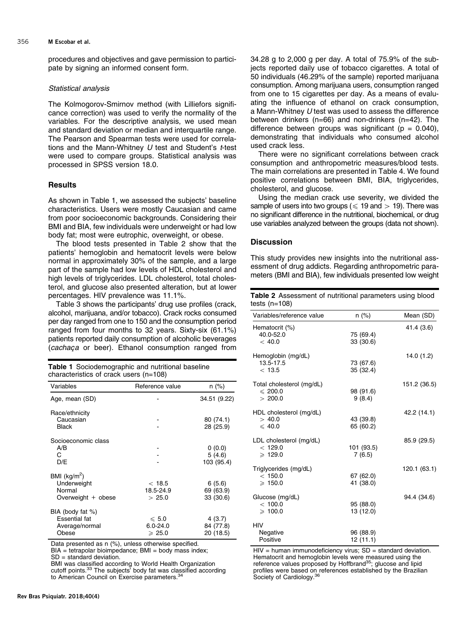procedures and objectives and gave permission to participate by signing an informed consent form.

#### Statistical analysis

The Kolmogorov-Smirnov method (with Lilliefors significance correction) was used to verify the normality of the variables. For the descriptive analysis, we used mean and standard deviation or median and interquartile range. The Pearson and Spearman tests were used for correlations and the Mann-Whitney  $U$  test and Student's  $t$ -test were used to compare groups. Statistical analysis was processed in SPSS version 18.0.

## **Results**

As shown in Table 1, we assessed the subjects' baseline characteristics. Users were mostly Caucasian and came from poor socioeconomic backgrounds. Considering their BMI and BIA, few individuals were underweight or had low body fat; most were eutrophic, overweight, or obese.

The blood tests presented in Table 2 show that the patients' hemoglobin and hematocrit levels were below normal in approximately 30% of the sample, and a large part of the sample had low levels of HDL cholesterol and high levels of triglycerides. LDL cholesterol, total cholesterol, and glucose also presented alteration, but at lower percentages. HIV prevalence was 11.1%.

[Table 3](#page-3-0) shows the participants' drug use profiles (crack, alcohol, marijuana, and/or tobacco). Crack rocks consumed per day ranged from one to 150 and the consumption period ranged from four months to 32 years. Sixty-six (61.1%) patients reported daily consumption of alcoholic beverages (cachaca or beer). Ethanol consumption ranged from

Table 1 Sociodemographic and nutritional baseline characteristics of crack users (n=108)

| Variables                                                           | Reference value                                     | n (%)                            |  |  |
|---------------------------------------------------------------------|-----------------------------------------------------|----------------------------------|--|--|
| Age, mean (SD)                                                      |                                                     | 34.51 (9.22)                     |  |  |
| Race/ethnicity<br>Caucasian<br>Black                                |                                                     | 80 (74.1)<br>28 (25.9)           |  |  |
| Socioeconomic class<br>A/B<br>C<br>D/E                              |                                                     | 0(0.0)<br>5(4.6)<br>103 (95.4)   |  |  |
| BMI ( $kg/m2$ )<br>Underweight<br>Normal<br>Overweight + obese      | < 18.5<br>18.5-24.9<br>> 25.0                       | 6(5.6)<br>69 (63.9)<br>33 (30.6) |  |  |
| BIA (body fat %)<br><b>Essential fat</b><br>Average/normal<br>Obese | $\leqslant 5.0$<br>$6.0 - 24.0$<br>$\geqslant 25.0$ | 4(3.7)<br>84 (77.8)<br>20 (18.5) |  |  |

Data presented as n (%), unless otherwise specified.

 $BIA = tetrapolar bioimpedance; BMI = body mass index;$ 

SD = standard deviation.

BMI was classified according to World Health Organization<br>cutoff points.<sup>33</sup> The subjects' body fat was classified according to American Council on Exercise parameters.<sup>3</sup>

34.28 g to 2,000 g per day. A total of 75.9% of the subjects reported daily use of tobacco cigarettes. A total of 50 individuals (46.29% of the sample) reported marijuana consumption. Among marijuana users, consumption ranged from one to 15 cigarettes per day. As a means of evaluating the influence of ethanol on crack consumption, a Mann-Whitney U test was used to assess the difference between drinkers (n=66) and non-drinkers (n=42). The difference between groups was significant ( $p = 0.040$ ), demonstrating that individuals who consumed alcohol used crack less.

There were no significant correlations between crack consumption and anthropometric measures/blood tests. The main correlations are presented in [Table 4](#page-3-0). We found positive correlations between BMI, BIA, triglycerides, cholesterol, and glucose.

Using the median crack use severity, we divided the sample of users into two groups ( $\leq 19$  and  $> 19$ ). There was no significant difference in the nutritional, biochemical, or drug use variables analyzed between the groups (data not shown).

## **Discussion**

This study provides new insights into the nutritional assessment of drug addicts. Regarding anthropometric parameters (BMI and BIA), few individuals presented low weight

Table 2 Assessment of nutritional parameters using blood tosts  $(n-108)$ 

| Variables/reference value                             | $n (\%)$               | Mean (SD)    |  |  |
|-------------------------------------------------------|------------------------|--------------|--|--|
| Hematocrit (%)<br>40.0-52.0<br>< 40.0                 | 75 (69.4)<br>33 (30.6) | 41.4 (3.6)   |  |  |
| Hemoglobin (mg/dL)<br>13.5-17.5<br>< 13.5             | 73 (67.6)<br>35 (32.4) | 14.0(1.2)    |  |  |
| Total cholesterol (mg/dL)<br>$\leq 200.0$<br>> 200.0  | 98 (91.6)<br>9(8.4)    | 151.2 (36.5) |  |  |
| HDL cholesterol (mg/dL)<br>> 40.0<br>$\leqslant$ 40.0 | 43 (39.8)<br>65 (60.2) | 42.2 (14.1)  |  |  |
| LDL cholesterol (mg/dL)<br>< 129.0<br>$\geq 129.0$    | 101 (93.5)<br>7(6.5)   | 85.9 (29.5)  |  |  |
| Triglycerides (mg/dL)<br>< 150.0<br>$\geq 150.0$      | 67 (62.0)<br>41 (38.0) | 120.1 (63.1) |  |  |
| Glucose (mg/dL)<br>< 100.0<br>$\geq 100.0$            | 95 (88.0)<br>13 (12.0) | 94.4 (34.6)  |  |  |
| <b>HIV</b><br>Negative<br>Positive                    | 96 (88.9)<br>12 (11.1) |              |  |  |

 $HIV =$  human immunodeficiency virus;  $SD =$  standard deviation. Hematocrit and hemoglobin levels were measured using the reference values proposed by Hoffbrand<sup>[35](#page-6-0)</sup>; glucose and lipid profiles were based on references established by the Brazilian<br>Society of Cardiology.<sup>[36](#page-6-0)</sup>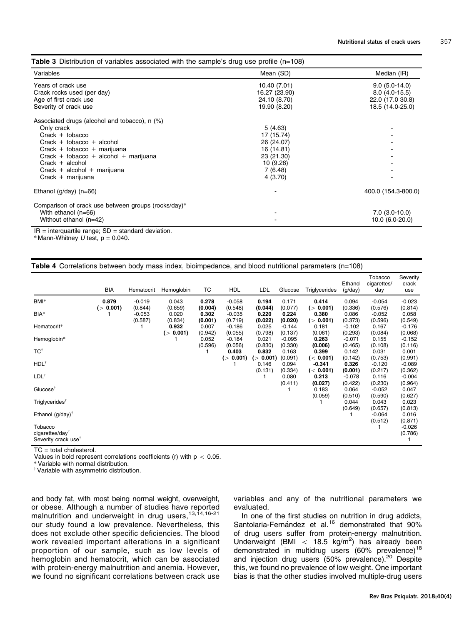<span id="page-3-0"></span>

| Variables                                           | Mean (SD)     | Median (IR)         |  |  |
|-----------------------------------------------------|---------------|---------------------|--|--|
| Years of crack use                                  | 10.40 (7.01)  | $9.0(5.0-14.0)$     |  |  |
| Crack rocks used (per day)                          | 16.27 (23.90) | $8.0(4.0-15.5)$     |  |  |
| Age of first crack use                              | 24.10 (8.70)  | 22.0 (17.0 30.8)    |  |  |
| Severity of crack use                               | 19.90 (8.20)  | 18.5 (14.0-25.0)    |  |  |
| Associated drugs (alcohol and tobacco), n (%)       |               |                     |  |  |
| Only crack                                          | 5(4.63)       |                     |  |  |
| $Crack + tobacco$                                   | 17 (15.74)    |                     |  |  |
| Crack + tobacco + alcohol                           | 26 (24.07)    |                     |  |  |
| Crack + tobacco + marijuana                         | 16 (14.81)    |                     |  |  |
| Crack + tobacco + alcohol + marijuana               | 23 (21.30)    |                     |  |  |
| $Crack + alcohol$                                   | 10 (9.26)     |                     |  |  |
| Crack + alcohol + marijuana                         | 7(6.48)       |                     |  |  |
| $Crack +marijuana$                                  | 4(3.70)       |                     |  |  |
| Ethanol ( $g$ /day) ( $n=66$ )                      |               | 400.0 (154.3-800.0) |  |  |
| Comparison of crack use between groups (rocks/day)* |               |                     |  |  |
| With ethanol $(n=66)$                               |               | $7.0$ (3.0-10.0)    |  |  |
| Without ethanol (n=42)                              |               | 10.0 (6.0-20.0)     |  |  |

 $IR =$  interquartile range;  $SD =$  standard deviation.

 $*$  Mann-Whitney U test,  $p = 0.040$ .

|  |  |  |  | Table 4 Correlations between body mass index, bioimpedance, and blood nutritional parameters (n=108) |  |  |  |  |
|--|--|--|--|------------------------------------------------------------------------------------------------------|--|--|--|--|
|--|--|--|--|------------------------------------------------------------------------------------------------------|--|--|--|--|

|                                                                           | BIA                | Hematocrit          | Hemoglobin         | TC               | <b>HDL</b>              | LDL                | Glucose             | Triglycerides         | Ethanol<br>(g/day)  | Tobacco<br>cigarettes/<br>day | Severity<br>crack<br>use       |
|---------------------------------------------------------------------------|--------------------|---------------------|--------------------|------------------|-------------------------|--------------------|---------------------|-----------------------|---------------------|-------------------------------|--------------------------------|
| BMI*                                                                      | 0.879<br>(> 0.001) | $-0.019$<br>(0.844) | 0.043<br>(0.659)   | 0.278<br>(0.004) | $-0.058$<br>(0.548)     | 0.194<br>(0.044)   | 0.171<br>(0.077)    | 0.414<br>(> 0.001)    | 0.094<br>(0.336)    | $-0.054$<br>(0.576)           | $-0.023$<br>(0.814)            |
| BIA*                                                                      |                    | $-0.053$<br>(0.587) | 0.020<br>(0.834)   | 0.302<br>(0.001) | $-0.035$<br>(0.719)     | 0.220<br>(0.022)   | 0.224<br>(0.020)    | 0.380<br>(> 0.001)    | 0.086<br>(0.373)    | $-0.052$<br>(0.596)           | 0.058<br>(0.549)               |
| Hematocrit*                                                               |                    |                     | 0.932<br>(> 0.001) | 0.007<br>(0.942) | $-0.186$<br>(0.055)     | 0.025<br>(0.798)   | $-0.144$<br>(0.137) | 0.181<br>(0.061)      | $-0.102$<br>(0.293) | 0.167<br>(0.084)              | $-0.176$<br>(0.068)            |
| Hemoglobin*                                                               |                    |                     |                    | 0.052<br>(0.596) | $-0.184$<br>(0.056)     | 0.021<br>(0.830)   | $-0.095$<br>(0.330) | 0.263<br>(0.006)      | $-0.071$<br>(0.465) | 0.155<br>(0.108)              | $-0.152$<br>(0.116)            |
| TC <sup>†</sup>                                                           |                    |                     |                    |                  | 0.403                   | 0.832              | 0.163               | 0.399                 | 0.142               | 0.031                         | 0.001                          |
| $HDL$ <sup>†</sup>                                                        |                    |                     |                    |                  | 0.001)<br>$\rightarrow$ | (> 0.001)<br>0.146 | (0.091)<br>0.094    | (< 0.001)<br>$-0.341$ | (0.142)<br>0.326    | (0.753)<br>$-0.120$           | (0.991)<br>$-0.089$            |
| LDL <sup>†</sup>                                                          |                    |                     |                    |                  |                         | (0.131)            | (0.334)<br>0.080    | (< 0.001)<br>0.213    | (0.001)<br>$-0.078$ | (0.217)<br>0.116              | (0.362)<br>$-0.004$            |
| Glucose <sup>†</sup>                                                      |                    |                     |                    |                  |                         |                    | (0.411)             | (0.027)<br>0.183      | (0.422)<br>0.064    | (0.230)<br>$-0.052$           | (0.964)<br>0.047               |
| Triglycerides <sup>†</sup>                                                |                    |                     |                    |                  |                         |                    |                     | (0.059)               | (0.510)<br>0.044    | (0.590)<br>0.043              | (0.627)<br>0.023               |
| Ethanol $(g/day)^{\dagger}$                                               |                    |                     |                    |                  |                         |                    |                     |                       | (0.649)             | (0.657)<br>$-0.064$           | (0.813)<br>0.016               |
| Tobacco<br>cigarettes/day <sup>®</sup><br>Severity crack use <sup>†</sup> |                    |                     |                    |                  |                         |                    |                     |                       |                     | (0.512)                       | (0.871)<br>$-0.026$<br>(0.786) |

 $TC = total$  cholesterol.

Values in bold represent correlations coefficients (r) with  $p < 0.05$ .<br>\* Variable with normal distribution.

 $*$  Variable with asymmetric distribution.

and body fat, with most being normal weight, overweight, or obese. Although a number of studies have reported malnutrition and underweight in drug users,<sup>[13,14,16](#page-5-0)-[21](#page-5-0)</sup> our study found a low prevalence. Nevertheless, this does not exclude other specific deficiencies. The blood work revealed important alterations in a significant proportion of our sample, such as low levels of hemoglobin and hematocrit, which can be associated with protein-energy malnutrition and anemia. However, we found no significant correlations between crack use variables and any of the nutritional parameters we evaluated.

In one of the first studies on nutrition in drug addicts, Santolaria-Fernández et al.<sup>[16](#page-5-0)</sup> demonstrated that 90% of drug users suffer from protein-energy malnutrition. Underweight (BMI  $<$  18.5 kg/m<sup>2</sup>) has already been demonstrated in multidrug users (60% prevalence)<sup>18</sup> and injection drug users (50% prevalence).<sup>[20](#page-5-0)</sup> Despite this, we found no prevalence of low weight. One important bias is that the other studies involved multiple-drug users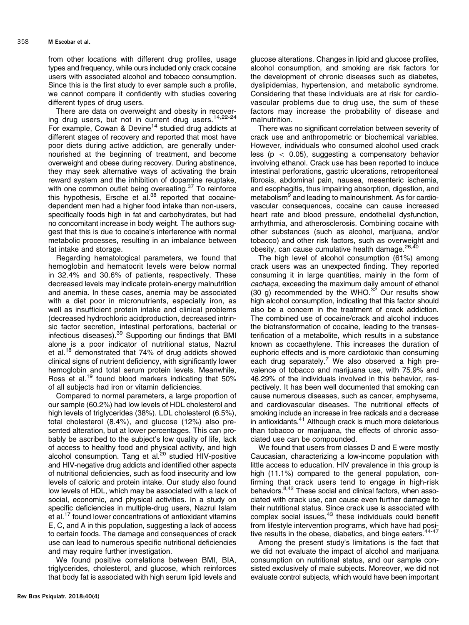from other locations with different drug profiles, usage types and frequency, while ours included only crack cocaine users with associated alcohol and tobacco consumption. Since this is the first study to ever sample such a profile, we cannot compare it confidently with studies covering different types of drug users.

There are data on overweight and obesity in recover-ing drug users, but not in current drug users.<sup>[14](#page-5-0),[22-24](#page-5-0)</sup> For example, Cowan & Devine<sup>14</sup> studied drug addicts at different stages of recovery and reported that most have poor diets during active addiction, are generally undernourished at the beginning of treatment, and become overweight and obese during recovery. During abstinence, they may seek alternative ways of activating the brain reward system and the inhibition of dopamine reuptake, with one common outlet being overeating.<sup>37</sup> To reinforce this hypothesis, Ersche et al. $38$  reported that cocainedependent men had a higher food intake than non-users, specifically foods high in fat and carbohydrates, but had no concomitant increase in body weight. The authors suggest that this is due to cocaine's interference with normal metabolic processes, resulting in an imbalance between fat intake and storage.

Regarding hematological parameters, we found that hemoglobin and hematocrit levels were below normal in 32.4% and 30.6% of patients, respectively. These decreased levels may indicate protein-energy malnutrition and anemia. In these cases, anemia may be associated with a diet poor in micronutrients, especially iron, as well as insufficient protein intake and clinical problems (decreased hydrochloric acidproduction, decreased intrinsic factor secretion, intestinal perforations, bacterial or infectious diseases).[39](#page-6-0) Supporting our findings that BMI alone is a poor indicator of nutritional status, Nazrul et al.<sup>18</sup> demonstrated that 74% of drug addicts showed clinical signs of nutrient deficiency, with significantly lower hemoglobin and total serum protein levels. Meanwhile, Ross et al.[19](#page-5-0) found blood markers indicating that 50% of all subjects had iron or vitamin deficiencies.

Compared to normal parameters, a large proportion of our sample (60.2%) had low levels of HDL cholesterol and high levels of triglycerides (38%). LDL cholesterol (6.5%), total cholesterol (8.4%), and glucose (12%) also presented alteration, but at lower percentages. This can probably be ascribed to the subject's low quality of life, lack of access to healthy food and physical activity, and high alcohol consumption. Tang et al.<sup>20</sup> studied HIV-positive and HIV-negative drug addicts and identified other aspects of nutritional deficiencies, such as food insecurity and low levels of caloric and protein intake. Our study also found low levels of HDL, which may be associated with a lack of social, economic, and physical activities. In a study on specific deficiencies in multiple-drug users, Nazrul Islam et al.[17](#page-5-0) found lower concentrations of antioxidant vitamins E, C, and A in this population, suggesting a lack of access to certain foods. The damage and consequences of crack use can lead to numerous specific nutritional deficiencies and may require further investigation.

We found positive correlations between BMI, BIA, triglycerides, cholesterol, and glucose, which reinforces that body fat is associated with high serum lipid levels and glucose alterations. Changes in lipid and glucose profiles, alcohol consumption, and smoking are risk factors for the development of chronic diseases such as diabetes, dyslipidemias, hypertension, and metabolic syndrome. Considering that these individuals are at risk for cardiovascular problems due to drug use, the sum of these factors may increase the probability of disease and malnutrition.

There was no significant correlation between severity of crack use and anthropometric or biochemical variables. However, individuals who consumed alcohol used crack less ( $p < 0.05$ ), suggesting a compensatory behavior involving ethanol. Crack use has been reported to induce intestinal perforations, gastric ulcerations, retroperitoneal fibrosis, abdominal pain, nausea, mesenteric ischemia, and esophagitis, thus impairing absorption, digestion, and metabolism<sup>[9](#page-5-0)</sup> and leading to malnourishment. As for cardiovascular consequences, cocaine can cause increased heart rate and blood pressure, endothelial dysfunction, arrhythmia, and atherosclerosis. Combining cocaine with other substances (such as alcohol, marijuana, and/or tobacco) and other risk factors, such as overweight and obesity, can cause cumulative health damage.<sup>[26](#page-5-0)[,40](#page-6-0)</sup>

The high level of alcohol consumption (61%) among crack users was an unexpected finding. They reported consuming it in large quantities, mainly in the form of cachaça, exceeding the maximum daily amount of ethanol (30 g) recommended by the WHO. $32$  Our results show high alcohol consumption, indicating that this factor should also be a concern in the treatment of crack addiction. The combined use of cocaine/crack and alcohol induces the biotransformation of cocaine, leading to the transesterification of a metabolite, which results in a substance known as cocaethylene. This increases the duration of euphoric effects and is more cardiotoxic than consuming each drug separately.<sup>[7](#page-5-0)</sup> We also observed a high prevalence of tobacco and marijuana use, with 75.9% and 46.29% of the individuals involved in this behavior, respectively. It has been well documented that smoking can cause numerous diseases, such as cancer, emphysema, and cardiovascular diseases. The nutritional effects of smoking include an increase in free radicals and a decrease in antioxidants.<sup>[41](#page-6-0)</sup> Although crack is much more deleterious than tobacco or marijuana, the effects of chronic associated use can be compounded.

We found that users from classes D and E were mostly Caucasian, characterizing a low-income population with little access to education. HIV prevalence in this group is high (11.1%) compared to the general population, confirming that crack users tend to engage in high-risk behaviors.<sup>8[,42](#page-6-0)</sup> These social and clinical factors, when associated with crack use, can cause even further damage to their nutritional status. Since crack use is associated with complex social issues,<sup>43</sup> these individuals could benefit from lifestyle intervention programs, which have had posi-tive results in the obese, diabetics, and binge eaters.<sup>44-[47](#page-6-0)</sup>

Among the present study's limitations is the fact that we did not evaluate the impact of alcohol and marijuana consumption on nutritional status, and our sample consisted exclusively of male subjects. Moreover, we did not evaluate control subjects, which would have been important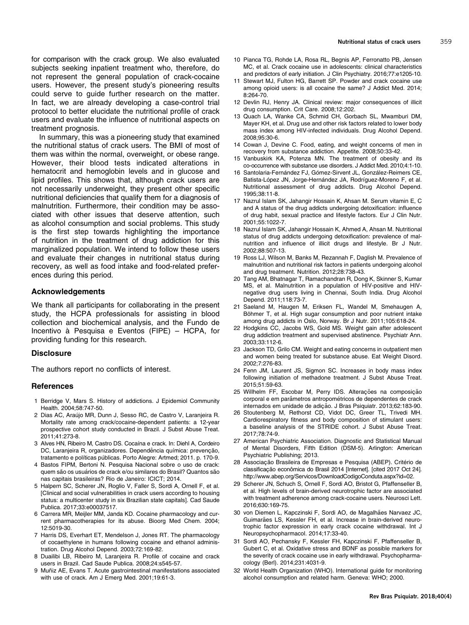<span id="page-5-0"></span>for comparison with the crack group. We also evaluated subjects seeking inpatient treatment who, therefore, do not represent the general population of crack-cocaine users. However, the present study's pioneering results could serve to guide further research on the matter. In fact, we are already developing a case-control trial protocol to better elucidate the nutritional profile of crack users and evaluate the influence of nutritional aspects on treatment prognosis.

In summary, this was a pioneering study that examined the nutritional status of crack users. The BMI of most of them was within the normal, overweight, or obese range. However, their blood tests indicated alterations in hematocrit and hemoglobin levels and in glucose and lipid profiles. This shows that, although crack users are not necessarily underweight, they present other specific nutritional deficiencies that qualify them for a diagnosis of malnutrition. Furthermore, their condition may be associated with other issues that deserve attention, such as alcohol consumption and social problems. This study is the first step towards highlighting the importance of nutrition in the treatment of drug addiction for this marginalized population. We intend to follow these users and evaluate their changes in nutritional status during recovery, as well as food intake and food-related preferences during this period.

## Acknowledgements

We thank all participants for collaborating in the present study, the HCPA professionals for assisting in blood collection and biochemical analysis, and the Fundo de Incentivo à Pesquisa e Eventos (FIPE) – HCPA, for providing funding for this research.

#### **Disclosure**

The authors report no conflicts of interest.

#### **References**

- 1 Berridge V, Mars S. History of addictions. J Epidemiol Community Health. 2004;58:747-50.
- 2 Dias AC, Arau´jo MR, Dunn J, Sesso RC, de Castro V, Laranjeira R. Mortality rate among crack/cocaine-dependent patients: a 12-year prospective cohort study conducted in Brazil. J Subst Abuse Treat. 2011;41:273-8.
- 3 Alves HN, Ribeiro M, Castro DS. Cocaína e crack. In: Diehl A, Cordeiro DC, Laranieira R, organizadores. Dependência química: prevencão, tratamento e políticas públicas. Porto Alegre: Artmed; 2011. p. 170-9.
- 4 Bastos FIPM, Bertoni N. Pesquisa Nacional sobre o uso de crack: quem são os usuários de crack e/ou similares do Brasil? Quantos são nas capitais brasileiras? Rio de Janeiro: ICICT; 2014.
- 5 Halpern SC, Scherer JN, Roglio V, Faller S, Sordi A, Ornell F, et al. [Clinical and social vulnerabilities in crack users according to housing status: a multicenter study in six Brazilian state capitals]. Cad Saude Publica. 2017;33:e00037517.
- 6 Carrera MR, Meijler MM, Janda KD. Cocaine pharmacology and current pharmacotherapies for its abuse. Bioorg Med Chem. 2004; 12:5019-30.
- 7 Harris DS, Everhart ET, Mendelson J, Jones RT. The pharmacology of cocaethylene in humans following cocaine and ethanol administration. Drug Alcohol Depend. 2003;72:169-82.
- 8 Duailibi LB, Ribeiro M, Laranjeira R. Profile of cocaine and crack users in Brazil. Cad Saude Publica. 2008;24:s545-57.
- 9 Muñiz AE, Evans T. Acute gastrointestinal manifestations associated with use of crack. Am J Emerg Med. 2001;19:61-3.
- 10 Pianca TG, Rohde LA, Rosa RL, Begnis AP, Ferronatto PB, Jensen MC, et al. Crack cocaine use in adolescents: clinical characteristics and predictors of early initiation. J Clin Psychiatry. 2016;77:e1205-10.
- 11 Stewart MJ, Fulton HG, Barrett SP. Powder and crack cocaine use among opioid users: is all cocaine the same? J Addict Med. 2014; 8:264-70.
- 12 Devlin RJ, Henry JA. Clinical review: major consequences of illicit drug consumption. Crit Care. 2008;12:202.
- 13 Quach LA, Wanke CA, Schmid CH, Gorbach SL, Mwamburi DM, Mayer KH, et al. Drug use and other risk factors related to lower body mass index among HIV-infected individuals. Drug Alcohol Depend. 2008;95:30-6.
- 14 Cowan J, Devine C. Food, eating, and weight concerns of men in recovery from substance addiction. Appetite. 2008;50:33-42.
- 15 Vanbuskirk KA, Potenza MN. The treatment of obesity and its co-occurrence with substance use disorders. J Addict Med. 2010;4:1-10.
- 16 Santolaria-Fernández FJ, Gómez-Sirvent JL, González-Reimers CE, Batista-López JN, Jorge-Hernández JA, Rodríguez-Moreno F, et al. Nutritional assessment of drug addicts. Drug Alcohol Depend. 1995;38:11-8.
- 17 Nazrul Islam SK, Jahangir Hossain K, Ahsan M. Serum vitamin E, C and A status of the drug addicts undergoing detoxification: influence of drug habit, sexual practice and lifestyle factors. Eur J Clin Nutr. 2001;55:1022-7.
- 18 Nazrul Islam SK, Jahangir Hossain K, Ahmed A, Ahsan M. Nutritional status of drug addicts undergoing detoxification: prevalence of malnutrition and influence of illicit drugs and lifestyle. Br J Nutr. 2002;88:507-13.
- 19 Ross LJ, Wilson M, Banks M, Rezannah F, Daglish M. Prevalence of malnutrition and nutritional risk factors in patients undergoing alcohol and drug treatment. Nutrition. 2012;28:738-43.
- 20 Tang AM, Bhatnagar T, Ramachandran R, Dong K, Skinner S, Kumar MS, et al. Malnutrition in a population of HIV-positive and HIVnegative drug users living in Chennai, South India. Drug Alcohol Depend. 2011;118:73-7.
- 21 Saeland M, Haugen M, Eriksen FL, Wandel M, Smehaugen A, Böhmer T, et al. High sugar consumption and poor nutrient intake among drug addicts in Oslo, Norway. Br J Nutr. 2011;105:618-24.
- 22 Hodgkins CC, Jacobs WS, Gold MS. Weight gain after adolescent drug addiction treatment and supervised abstinence. Psychiatr Ann. 2003;33:112-6.
- 23 Jackson TD, Grilo CM. Weight and eating concerns in outpatient men and women being treated for substance abuse. Eat Weight Disord. 2002;7:276-83.
- 24 Fenn JM, Laurent JS, Sigmon SC. Increases in body mass index following initiation of methadone treatment. J Subst Abuse Treat. 2015;51:59-63.
- 25 Willhelm FF, Escobar M, Perry IDS. Alterações na composição corporal e em parâmetros antropométricos de dependentes de crack internados em unidade de adição. J Bras Psiquiatr. 2013;62:183-90.
- 26 Stoutenberg M, Rethorst CD, Vidot DC, Greer TL, Trivedi MH. Cardiorespiratory fitness and body composition of stimulant users: a baseline analysis of the STRIDE cohort. J Subst Abuse Treat. 2017;78:74-9.
- 27 American Psychiatric Association. Diagnostic and Statistical Manual of Mental Disorders, Fifth Edition (DSM-5). Arlington: American Psychiatric Publishing; 2013.
- 28 Associação Brasileira de Empresas e Pesquisa (ABEP). Critério de classificação econômica do Brasil 2014 [Internet]. [cited 2017 Oct 24]. <http://www.abep.org/Servicos/DownloadCodigoConduta.aspx?id=02>.
- 29 Scherer JN, Schuch S, Ornell F, Sordi AO, Bristot G, Pfaffenseller B, et al. High levels of brain-derived neurotrophic factor are associated with treatment adherence among crack-cocaine users. Neurosci Lett. 2016;630:169-75.
- 30 von Diemen L, Kapczinski F, Sordi AO, de Magalhães Narvaez JC, Guimarães LS, Kessler FH, et al. Increase in brain-derived neurotrophic factor expression in early crack cocaine withdrawal. Int J Neuropsychopharmacol. 2014;17:33-40.
- 31 Sordi AO, Pechansky F, Kessler FH, Kapczinski F, Pfaffenseller B, Gubert C, et al. Oxidative stress and BDNF as possible markers for the severity of crack cocaine use in early withdrawal. Psychopharmacology (Berl). 2014;231:4031-9.
- 32 World Health Organization (WHO). International guide for monitoring alcohol consumption and related harm. Geneva: WHO; 2000.